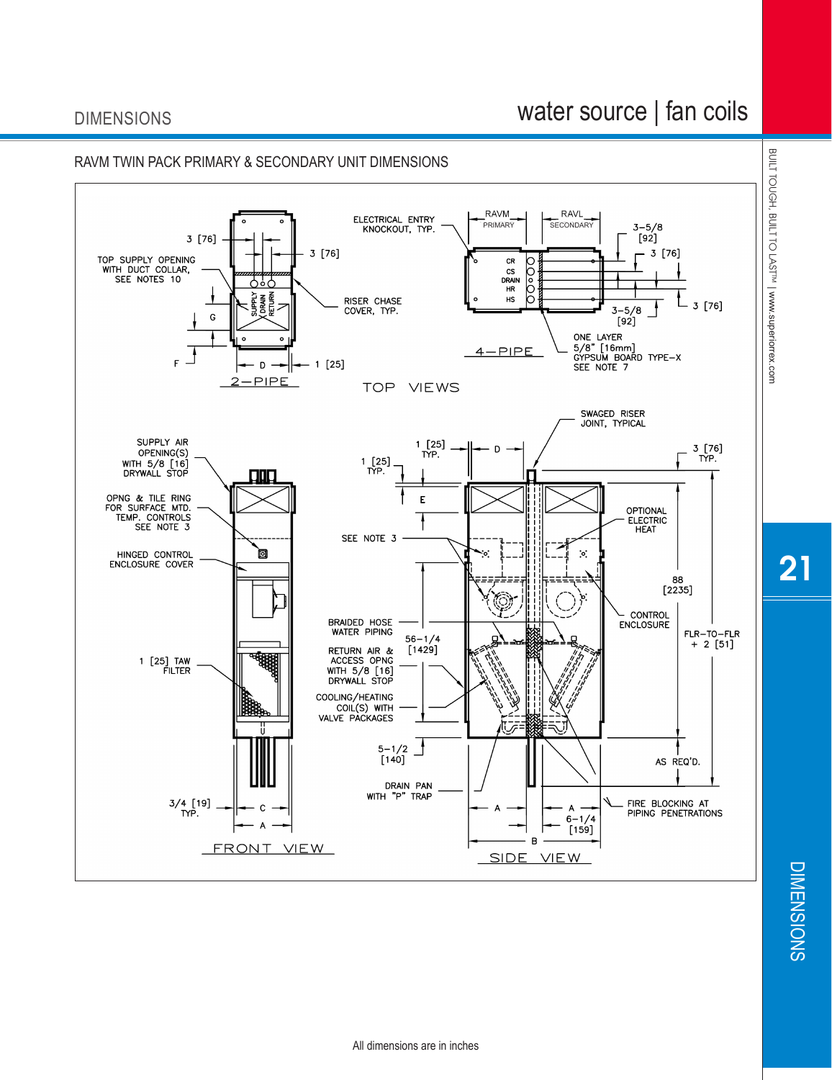## DIMENSIONS

## water source | fan coils



21

**DIMENSIONS** DIMENSIONS